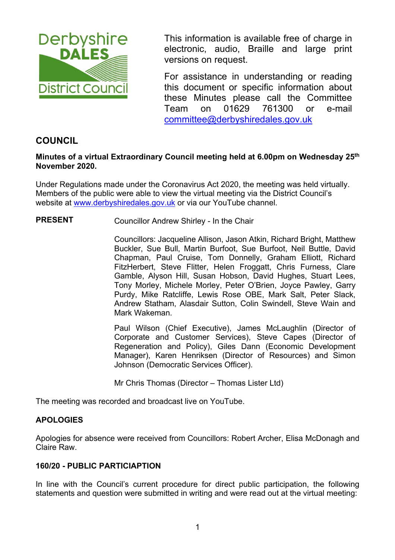

This information is available free of charge in electronic, audio, Braille and large print versions on request.

For assistance in understanding or reading this document or specific information about these Minutes please call the Committee Team on 01629 761300 or e-mail committee@derbyshiredales.gov.uk

# **COUNCIL**

## **Minutes of a virtual Extraordinary Council meeting held at 6.00pm on Wednesday 25th November 2020.**

Under Regulations made under the Coronavirus Act 2020, the meeting was held virtually. Members of the public were able to view the virtual meeting via the District Council's website at www.derbyshiredales.gov.uk or via our YouTube channel.

## **PRESENT** Councillor Andrew Shirley - In the Chair

 Councillors: Jacqueline Allison, Jason Atkin, Richard Bright, Matthew Buckler, Sue Bull, Martin Burfoot, Sue Burfoot, Neil Buttle, David Chapman, Paul Cruise, Tom Donnelly, Graham Elliott, Richard FitzHerbert, Steve Flitter, Helen Froggatt, Chris Furness, Clare Gamble, Alyson Hill, Susan Hobson, David Hughes, Stuart Lees, Tony Morley, Michele Morley, Peter O'Brien, Joyce Pawley, Garry Purdy, Mike Ratcliffe, Lewis Rose OBE, Mark Salt, Peter Slack, Andrew Statham, Alasdair Sutton, Colin Swindell, Steve Wain and Mark Wakeman.

Paul Wilson (Chief Executive), James McLaughlin (Director of Corporate and Customer Services), Steve Capes (Director of Regeneration and Policy), Giles Dann (Economic Development Manager), Karen Henriksen (Director of Resources) and Simon Johnson (Democratic Services Officer).

Mr Chris Thomas (Director – Thomas Lister Ltd)

The meeting was recorded and broadcast live on YouTube.

## **APOLOGIES**

Apologies for absence were received from Councillors: Robert Archer, Elisa McDonagh and Claire Raw.

## **160/20 - PUBLIC PARTICIAPTION**

In line with the Council's current procedure for direct public participation, the following statements and question were submitted in writing and were read out at the virtual meeting: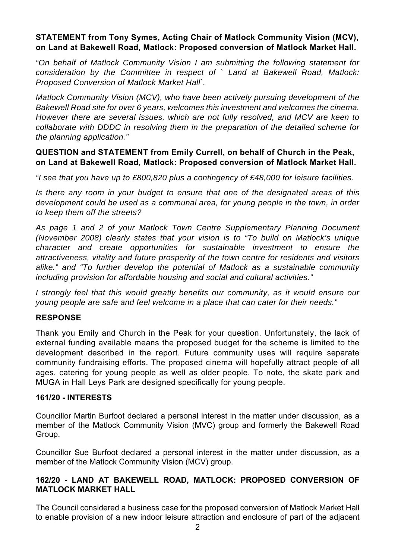## **STATEMENT from Tony Symes, Acting Chair of Matlock Community Vision (MCV), on Land at Bakewell Road, Matlock: Proposed conversion of Matlock Market Hall.**

*"On behalf of Matlock Community Vision I am submitting the following statement for consideration by the Committee in respect of ` Land at Bakewell Road, Matlock: Proposed Conversion of Matlock Market Hall`.* 

*Matlock Community Vision (MCV), who have been actively pursuing development of the Bakewell Road site for over 6 years, welcomes this investment and welcomes the cinema. However there are several issues, which are not fully resolved, and MCV are keen to collaborate with DDDC in resolving them in the preparation of the detailed scheme for the planning application."* 

## **QUESTION and STATEMENT from Emily Currell, on behalf of Church in the Peak, on Land at Bakewell Road, Matlock: Proposed conversion of Matlock Market Hall.**

*"I see that you have up to £800,820 plus a contingency of £48,000 for leisure facilities.* 

*Is there any room in your budget to ensure that one of the designated areas of this development could be used as a communal area, for young people in the town, in order to keep them off the streets?* 

*As page 1 and 2 of your Matlock Town Centre Supplementary Planning Document (November 2008) clearly states that your vision is to "To build on Matlock's unique character and create opportunities for sustainable investment to ensure the attractiveness, vitality and future prosperity of the town centre for residents and visitors alike." and "To further develop the potential of Matlock as a sustainable community including provision for affordable housing and social and cultural activities."* 

*I strongly feel that this would greatly benefits our community, as it would ensure our young people are safe and feel welcome in a place that can cater for their needs."* 

## **RESPONSE**

Thank you Emily and Church in the Peak for your question. Unfortunately, the lack of external funding available means the proposed budget for the scheme is limited to the development described in the report. Future community uses will require separate community fundraising efforts. The proposed cinema will hopefully attract people of all ages, catering for young people as well as older people. To note, the skate park and MUGA in Hall Leys Park are designed specifically for young people.

## **161/20 - INTERESTS**

Councillor Martin Burfoot declared a personal interest in the matter under discussion, as a member of the Matlock Community Vision (MVC) group and formerly the Bakewell Road Group.

Councillor Sue Burfoot declared a personal interest in the matter under discussion, as a member of the Matlock Community Vision (MCV) group.

## **162/20 - LAND AT BAKEWELL ROAD, MATLOCK: PROPOSED CONVERSION OF MATLOCK MARKET HALL**

The Council considered a business case for the proposed conversion of Matlock Market Hall to enable provision of a new indoor leisure attraction and enclosure of part of the adjacent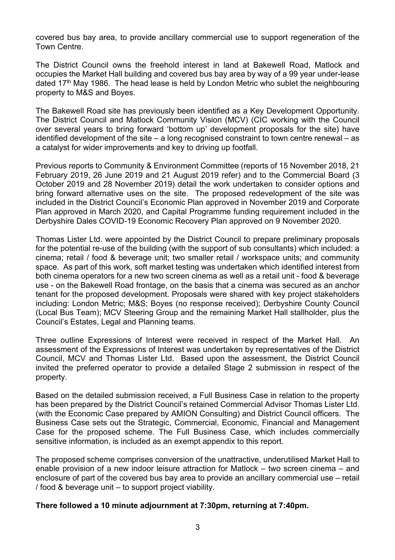covered bus bay area, to provide ancillary commercial use to support regeneration of the Town Centre.

The District Council owns the freehold interest in land at Bakewell Road, Matlock and occupies the Market Hall building and covered bus bay area by way of a 99 year under-lease dated 17<sup>th</sup> May 1986. The head lease is held by London Metric who sublet the neighbouring property to M&S and Boyes.

The Bakewell Road site has previously been identified as a Key Development Opportunity. The District Council and Matlock Community Vision (MCV) (CIC working with the Council over several years to bring forward 'bottom up' development proposals for the site) have identified development of the site – a long recognised constraint to town centre renewal – as a catalyst for wider improvements and key to driving up footfall.

Previous reports to Community & Environment Committee (reports of 15 November 2018, 21 February 2019, 26 June 2019 and 21 August 2019 refer) and to the Commercial Board (3 October 2019 and 28 November 2019) detail the work undertaken to consider options and bring forward alternative uses on the site. The proposed redevelopment of the site was included in the District Council's Economic Plan approved in November 2019 and Corporate Plan approved in March 2020, and Capital Programme funding requirement included in the Derbyshire Dales COVID-19 Economic Recovery Plan approved on 9 November 2020.

Thomas Lister Ltd. were appointed by the District Council to prepare preliminary proposals for the potential re-use of the building (with the support of sub consultants) which included: a cinema; retail / food & beverage unit; two smaller retail / workspace units; and community space. As part of this work, soft market testing was undertaken which identified interest from both cinema operators for a new two screen cinema as well as a retail unit - food & beverage use - on the Bakewell Road frontage, on the basis that a cinema was secured as an anchor tenant for the proposed development. Proposals were shared with key project stakeholders including: London Metric; M&S; Boyes (no response received); Derbyshire County Council (Local Bus Team); MCV Steering Group and the remaining Market Hall stallholder, plus the Council's Estates, Legal and Planning teams.

Three outline Expressions of Interest were received in respect of the Market Hall. An assessment of the Expressions of Interest was undertaken by representatives of the District Council, MCV and Thomas Lister Ltd. Based upon the assessment, the District Council invited the preferred operator to provide a detailed Stage 2 submission in respect of the property.

Based on the detailed submission received, a Full Business Case in relation to the property has been prepared by the District Council's retained Commercial Advisor Thomas Lister Ltd. (with the Economic Case prepared by AMION Consulting) and District Council officers. The Business Case sets out the Strategic, Commercial, Economic, Financial and Management Case for the proposed scheme. The Full Business Case, which includes commercially sensitive information, is included as an exempt appendix to this report.

The proposed scheme comprises conversion of the unattractive, underutilised Market Hall to enable provision of a new indoor leisure attraction for Matlock – two screen cinema – and enclosure of part of the covered bus bay area to provide an ancillary commercial use – retail / food & beverage unit – to support project viability.

## **There followed a 10 minute adjournment at 7:30pm, returning at 7:40pm.**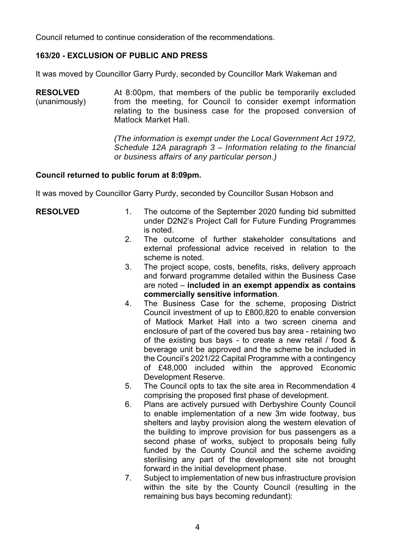Council returned to continue consideration of the recommendations.

## **163/20 - EXCLUSION OF PUBLIC AND PRESS**

It was moved by Councillor Garry Purdy, seconded by Councillor Mark Wakeman and

**RESOLVED**  (unanimously) At 8:00pm, that members of the public be temporarily excluded from the meeting, for Council to consider exempt information relating to the business case for the proposed conversion of Matlock Market Hall.

> *(The information is exempt under the Local Government Act 1972, Schedule 12A paragraph 3 – Information relating to the financial or business affairs of any particular person.)*

#### **Council returned to public forum at 8:09pm.**

It was moved by Councillor Garry Purdy, seconded by Councillor Susan Hobson and

- **RESOLVED** 1. The outcome of the September 2020 funding bid submitted under D2N2's Project Call for Future Funding Programmes is noted.
	- 2. The outcome of further stakeholder consultations and external professional advice received in relation to the scheme is noted.
	- 3. The project scope, costs, benefits, risks, delivery approach and forward programme detailed within the Business Case are noted – **included in an exempt appendix as contains commercially sensitive information**.
	- 4. The Business Case for the scheme, proposing District Council investment of up to £800,820 to enable conversion of Matlock Market Hall into a two screen cinema and enclosure of part of the covered bus bay area - retaining two of the existing bus bays - to create a new retail / food & beverage unit be approved and the scheme be included in the Council's 2021/22 Capital Programme with a contingency of £48,000 included within the approved Economic Development Reserve.
	- 5. The Council opts to tax the site area in Recommendation 4 comprising the proposed first phase of development.
	- 6. Plans are actively pursued with Derbyshire County Council to enable implementation of a new 3m wide footway, bus shelters and layby provision along the western elevation of the building to improve provision for bus passengers as a second phase of works, subject to proposals being fully funded by the County Council and the scheme avoiding sterilising any part of the development site not brought forward in the initial development phase.
	- 7. Subject to implementation of new bus infrastructure provision within the site by the County Council (resulting in the remaining bus bays becoming redundant):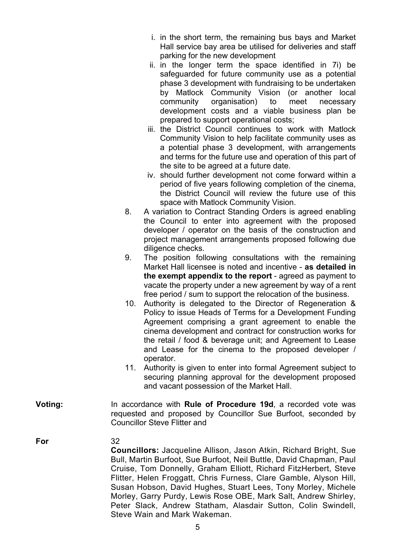- i. in the short term, the remaining bus bays and Market Hall service bay area be utilised for deliveries and staff parking for the new development
- ii. in the longer term the space identified in 7i) be safeguarded for future community use as a potential phase 3 development with fundraising to be undertaken by Matlock Community Vision (or another local community organisation) to meet necessary development costs and a viable business plan be prepared to support operational costs;
- iii. the District Council continues to work with Matlock Community Vision to help facilitate community uses as a potential phase 3 development, with arrangements and terms for the future use and operation of this part of the site to be agreed at a future date.
- iv. should further development not come forward within a period of five years following completion of the cinema, the District Council will review the future use of this space with Matlock Community Vision.
- 8. A variation to Contract Standing Orders is agreed enabling the Council to enter into agreement with the proposed developer / operator on the basis of the construction and project management arrangements proposed following due diligence checks.
- 9. The position following consultations with the remaining Market Hall licensee is noted and incentive - **as detailed in the exempt appendix to the report** - agreed as payment to vacate the property under a new agreement by way of a rent free period / sum to support the relocation of the business.
- 10. Authority is delegated to the Director of Regeneration & Policy to issue Heads of Terms for a Development Funding Agreement comprising a grant agreement to enable the cinema development and contract for construction works for the retail / food & beverage unit; and Agreement to Lease and Lease for the cinema to the proposed developer / operator.
- 11. Authority is given to enter into formal Agreement subject to securing planning approval for the development proposed and vacant possession of the Market Hall.
- **Voting:**  In accordance with **Rule of Procedure 19d**, a recorded vote was requested and proposed by Councillor Sue Burfoot, seconded by Councillor Steve Flitter and

**For** 

## 32 **Councillors:** Jacqueline Allison, Jason Atkin, Richard Bright, Sue Bull, Martin Burfoot, Sue Burfoot, Neil Buttle, David Chapman, Paul Cruise, Tom Donnelly, Graham Elliott, Richard FitzHerbert, Steve Flitter, Helen Froggatt, Chris Furness, Clare Gamble, Alyson Hill, Susan Hobson, David Hughes, Stuart Lees, Tony Morley, Michele Morley, Garry Purdy, Lewis Rose OBE, Mark Salt, Andrew Shirley, Peter Slack, Andrew Statham, Alasdair Sutton, Colin Swindell, Steve Wain and Mark Wakeman.